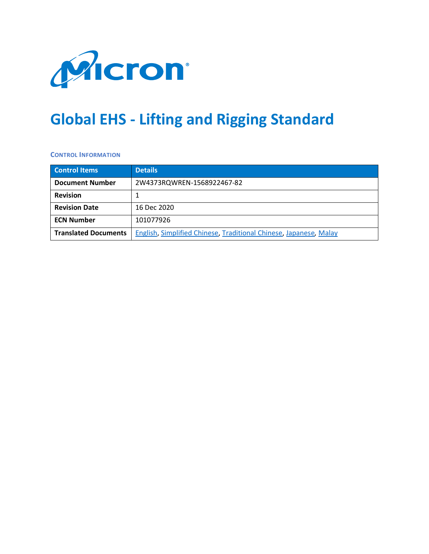

# **Global EHS - Lifting and Rigging Standard**

**CONTROL INFORMATION**

| <b>Control Items</b>        | <b>Details</b>                                                    |  |
|-----------------------------|-------------------------------------------------------------------|--|
| <b>Document Number</b>      | 2W4373RQWREN-1568922467-82                                        |  |
| <b>Revision</b>             |                                                                   |  |
| <b>Revision Date</b>        | 16 Dec 2020                                                       |  |
| <b>ECN Number</b>           | 101077926                                                         |  |
| <b>Translated Documents</b> | English, Simplified Chinese, Traditional Chinese, Japanese, Malay |  |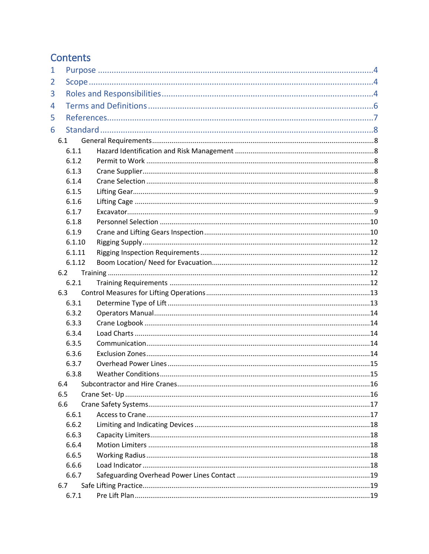## Contents

| $\mathbf 1$ |        |  |  |
|-------------|--------|--|--|
| 2           |        |  |  |
| 3           |        |  |  |
| 4           |        |  |  |
| 5           |        |  |  |
| 6           |        |  |  |
|             | 6.1    |  |  |
|             | 6.1.1  |  |  |
|             | 6.1.2  |  |  |
|             | 6.1.3  |  |  |
|             | 6.1.4  |  |  |
|             | 6.1.5  |  |  |
|             | 6.1.6  |  |  |
|             | 6.1.7  |  |  |
|             | 6.1.8  |  |  |
|             | 6.1.9  |  |  |
|             | 6.1.10 |  |  |
|             | 6.1.11 |  |  |
|             | 6.1.12 |  |  |
| 6.2         |        |  |  |
|             | 6.2.1  |  |  |
|             | 6.3    |  |  |
|             | 6.3.1  |  |  |
|             | 6.3.2  |  |  |
|             | 6.3.3  |  |  |
|             | 6.3.4  |  |  |
|             | 6.3.5  |  |  |
|             | 6.3.6  |  |  |
|             | 6.3.7  |  |  |
|             | 6.3.8  |  |  |
| 6.4         |        |  |  |
| 6.5         |        |  |  |
| 6.6         |        |  |  |
|             | 6.6.1  |  |  |
|             | 6.6.2  |  |  |
|             | 6.6.3  |  |  |
|             | 6.6.4  |  |  |
|             | 6.6.5  |  |  |
|             | 6.6.6  |  |  |
|             | 6.6.7  |  |  |
| 6.7         |        |  |  |
|             | 6.7.1  |  |  |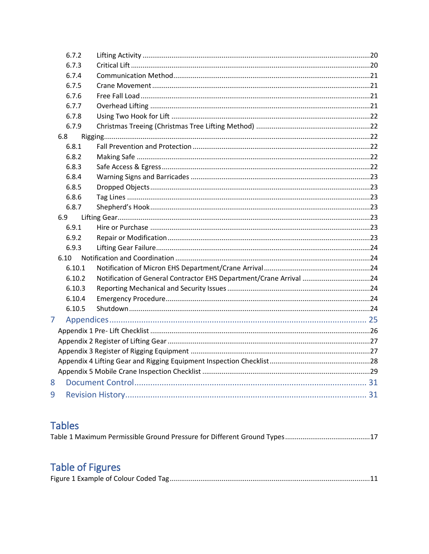|   | 6.7.2  |                                                                    |  |
|---|--------|--------------------------------------------------------------------|--|
|   | 6.7.3  |                                                                    |  |
|   | 6.7.4  |                                                                    |  |
|   | 6.7.5  |                                                                    |  |
|   | 6.7.6  |                                                                    |  |
|   | 6.7.7  |                                                                    |  |
|   | 6.7.8  |                                                                    |  |
|   | 6.7.9  |                                                                    |  |
|   | 6.8    |                                                                    |  |
|   | 6.8.1  |                                                                    |  |
|   | 6.8.2  |                                                                    |  |
|   | 6.8.3  |                                                                    |  |
|   | 6.8.4  |                                                                    |  |
|   | 6.8.5  |                                                                    |  |
|   | 6.8.6  |                                                                    |  |
|   | 6.8.7  |                                                                    |  |
|   | 6.9    |                                                                    |  |
|   | 6.9.1  |                                                                    |  |
|   | 6.9.2  |                                                                    |  |
|   | 6.9.3  |                                                                    |  |
|   | 6.10   |                                                                    |  |
|   | 6.10.1 |                                                                    |  |
|   | 6.10.2 | Notification of General Contractor EHS Department/Crane Arrival 24 |  |
|   | 6.10.3 |                                                                    |  |
|   | 6.10.4 |                                                                    |  |
|   | 6.10.5 |                                                                    |  |
| 7 |        |                                                                    |  |
|   |        |                                                                    |  |
|   |        |                                                                    |  |
|   |        |                                                                    |  |
|   |        |                                                                    |  |
|   |        |                                                                    |  |
| 8 |        |                                                                    |  |
| 9 |        |                                                                    |  |
|   |        |                                                                    |  |

## **Tables**

|--|--|

## **Table of Figures**

|--|--|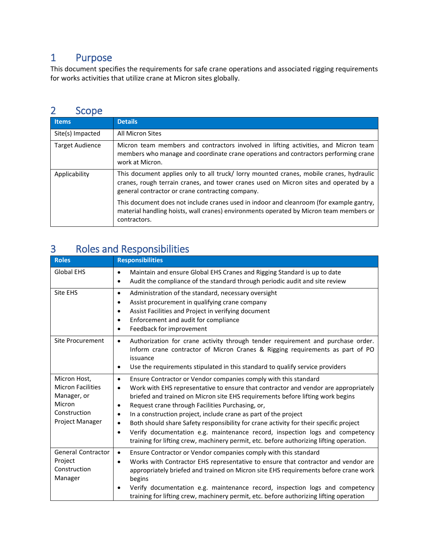### <span id="page-3-0"></span>1 Purpose

This document specifies the requirements for safe crane operations and associated rigging requirements for works activities that utilize crane at Micron sites globally.

### <span id="page-3-1"></span>2 Scope

| <b>Items</b>           | <b>Details</b>                                                                                                                                                                                                                       |  |
|------------------------|--------------------------------------------------------------------------------------------------------------------------------------------------------------------------------------------------------------------------------------|--|
| Site(s) Impacted       | All Micron Sites                                                                                                                                                                                                                     |  |
| <b>Target Audience</b> | Micron team members and contractors involved in lifting activities, and Micron team<br>members who manage and coordinate crane operations and contractors performing crane<br>work at Micron.                                        |  |
| Applicability          | This document applies only to all truck/ lorry mounted cranes, mobile cranes, hydraulic<br>cranes, rough terrain cranes, and tower cranes used on Micron sites and operated by a<br>general contractor or crane contracting company. |  |
|                        | This document does not include cranes used in indoor and cleanroom (for example gantry,<br>material handling hoists, wall cranes) environments operated by Micron team members or<br>contractors.                                    |  |

## <span id="page-3-2"></span>3 Roles and Responsibilities

| <b>Roles</b>                                                                                         | <b>Responsibilities</b>                                                                                                                                                                                                                                                                                                                                                                                                                                                                                                                                                                                                                                                                                   |
|------------------------------------------------------------------------------------------------------|-----------------------------------------------------------------------------------------------------------------------------------------------------------------------------------------------------------------------------------------------------------------------------------------------------------------------------------------------------------------------------------------------------------------------------------------------------------------------------------------------------------------------------------------------------------------------------------------------------------------------------------------------------------------------------------------------------------|
| <b>Global EHS</b>                                                                                    | Maintain and ensure Global EHS Cranes and Rigging Standard is up to date<br>$\bullet$<br>Audit the compliance of the standard through periodic audit and site review<br>$\bullet$                                                                                                                                                                                                                                                                                                                                                                                                                                                                                                                         |
| Site EHS                                                                                             | Administration of the standard, necessary oversight<br>$\bullet$<br>Assist procurement in qualifying crane company<br>$\bullet$<br>Assist Facilities and Project in verifying document<br>$\bullet$<br>Enforcement and audit for compliance<br>$\bullet$<br>Feedback for improvement<br>$\bullet$                                                                                                                                                                                                                                                                                                                                                                                                         |
| Site Procurement                                                                                     | Authorization for crane activity through tender requirement and purchase order.<br>$\bullet$<br>Inform crane contractor of Micron Cranes & Rigging requirements as part of PO<br>issuance<br>Use the requirements stipulated in this standard to qualify service providers<br>٠                                                                                                                                                                                                                                                                                                                                                                                                                           |
| Micron Host,<br><b>Micron Facilities</b><br>Manager, or<br>Micron<br>Construction<br>Project Manager | Ensure Contractor or Vendor companies comply with this standard<br>٠<br>Work with EHS representative to ensure that contractor and vendor are appropriately<br>$\bullet$<br>briefed and trained on Micron site EHS requirements before lifting work begins<br>Request crane through Facilities Purchasing, or,<br>$\bullet$<br>In a construction project, include crane as part of the project<br>$\bullet$<br>Both should share Safety responsibility for crane activity for their specific project<br>$\bullet$<br>Verify documentation e.g. maintenance record, inspection logs and competency<br>$\bullet$<br>training for lifting crew, machinery permit, etc. before authorizing lifting operation. |
| <b>General Contractor</b><br>Project<br>Construction<br>Manager                                      | Ensure Contractor or Vendor companies comply with this standard<br>$\bullet$<br>Works with Contractor EHS representative to ensure that contractor and vendor are<br>appropriately briefed and trained on Micron site EHS requirements before crane work<br>begins<br>Verify documentation e.g. maintenance record, inspection logs and competency<br>$\bullet$<br>training for lifting crew, machinery permit, etc. before authorizing lifting operation                                                                                                                                                                                                                                                 |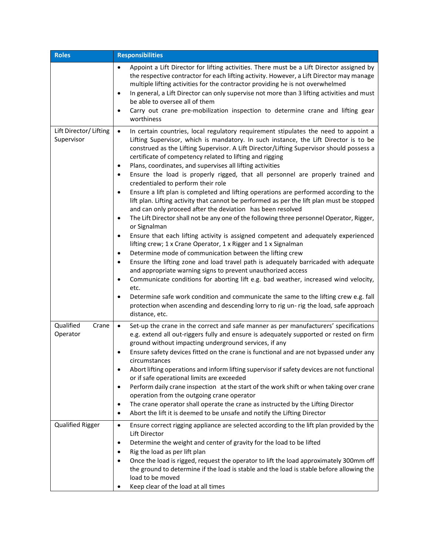| <b>Roles</b>                         | <b>Responsibilities</b>                                                                                                                                                                                                                                                                                                                                                                                                                                                                                                                                                                                                                                                                                                                                                                                                                                                                                                                                                                                                                                                                                                                                                                                                                                                                                                                                                                                                                                                                                                                                                                                                                                                                                   |  |  |
|--------------------------------------|-----------------------------------------------------------------------------------------------------------------------------------------------------------------------------------------------------------------------------------------------------------------------------------------------------------------------------------------------------------------------------------------------------------------------------------------------------------------------------------------------------------------------------------------------------------------------------------------------------------------------------------------------------------------------------------------------------------------------------------------------------------------------------------------------------------------------------------------------------------------------------------------------------------------------------------------------------------------------------------------------------------------------------------------------------------------------------------------------------------------------------------------------------------------------------------------------------------------------------------------------------------------------------------------------------------------------------------------------------------------------------------------------------------------------------------------------------------------------------------------------------------------------------------------------------------------------------------------------------------------------------------------------------------------------------------------------------------|--|--|
|                                      | Appoint a Lift Director for lifting activities. There must be a Lift Director assigned by<br>$\bullet$<br>the respective contractor for each lifting activity. However, a Lift Director may manage<br>multiple lifting activities for the contractor providing he is not overwhelmed<br>In general, a Lift Director can only supervise not more than 3 lifting activities and must<br>$\bullet$<br>be able to oversee all of them<br>Carry out crane pre-mobilization inspection to determine crane and lifting gear<br>$\bullet$<br>worthiness                                                                                                                                                                                                                                                                                                                                                                                                                                                                                                                                                                                                                                                                                                                                                                                                                                                                                                                                                                                                                                                                                                                                                           |  |  |
| Lift Director/ Lifting<br>Supervisor | In certain countries, local regulatory requirement stipulates the need to appoint a<br>$\bullet$<br>Lifting Supervisor, which is mandatory. In such instance, the Lift Director is to be<br>construed as the Lifting Supervisor. A Lift Director/Lifting Supervisor should possess a<br>certificate of competency related to lifting and rigging<br>Plans, coordinates, and supervises all lifting activities<br>$\bullet$<br>Ensure the load is properly rigged, that all personnel are properly trained and<br>$\bullet$<br>credentialed to perform their role<br>Ensure a lift plan is completed and lifting operations are performed according to the<br>$\bullet$<br>lift plan. Lifting activity that cannot be performed as per the lift plan must be stopped<br>and can only proceed after the deviation has been resolved<br>The Lift Director shall not be any one of the following three personnel Operator, Rigger,<br>$\bullet$<br>or Signalman<br>Ensure that each lifting activity is assigned competent and adequately experienced<br>$\bullet$<br>lifting crew; 1 x Crane Operator, 1 x Rigger and 1 x Signalman<br>Determine mode of communication between the lifting crew<br>$\bullet$<br>Ensure the lifting zone and load travel path is adequately barricaded with adequate<br>$\bullet$<br>and appropriate warning signs to prevent unauthorized access<br>Communicate conditions for aborting lift e.g. bad weather, increased wind velocity,<br>$\bullet$<br>etc.<br>Determine safe work condition and communicate the same to the lifting crew e.g. fall<br>$\bullet$<br>protection when ascending and descending lorry to rig un- rig the load, safe approach<br>distance, etc. |  |  |
| Qualified<br>Crane<br>Operator       | Set-up the crane in the correct and safe manner as per manufacturers' specifications<br>$\bullet$<br>e.g. extend all out-riggers fully and ensure is adequately supported or rested on firm<br>ground without impacting underground services, if any<br>Ensure safety devices fitted on the crane is functional and are not bypassed under any<br>$\bullet$<br>circumstances<br>Abort lifting operations and inform lifting supervisor if safety devices are not functional<br>or if safe operational limits are exceeded<br>Perform daily crane inspection at the start of the work shift or when taking over crane<br>$\bullet$<br>operation from the outgoing crane operator<br>The crane operator shall operate the crane as instructed by the Lifting Director<br>$\bullet$<br>Abort the lift it is deemed to be unsafe and notify the Lifting Director<br>$\bullet$                                                                                                                                                                                                                                                                                                                                                                                                                                                                                                                                                                                                                                                                                                                                                                                                                                 |  |  |
| <b>Qualified Rigger</b>              | Ensure correct rigging appliance are selected according to the lift plan provided by the<br>$\bullet$<br>Lift Director<br>Determine the weight and center of gravity for the load to be lifted<br>$\bullet$<br>Rig the load as per lift plan<br>Once the load is rigged, request the operator to lift the load approximately 300mm off<br>$\bullet$<br>the ground to determine if the load is stable and the load is stable before allowing the<br>load to be moved<br>Keep clear of the load at all times                                                                                                                                                                                                                                                                                                                                                                                                                                                                                                                                                                                                                                                                                                                                                                                                                                                                                                                                                                                                                                                                                                                                                                                                |  |  |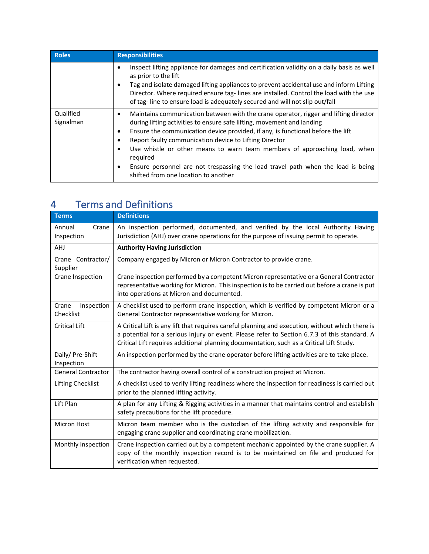| <b>Roles</b>           | <b>Responsibilities</b>                                                                                                                                                                                                                                                                                                                                                                                                                                                                                                                                      |
|------------------------|--------------------------------------------------------------------------------------------------------------------------------------------------------------------------------------------------------------------------------------------------------------------------------------------------------------------------------------------------------------------------------------------------------------------------------------------------------------------------------------------------------------------------------------------------------------|
|                        | Inspect lifting appliance for damages and certification validity on a daily basis as well<br>٠<br>as prior to the lift<br>Tag and isolate damaged lifting appliances to prevent accidental use and inform Lifting<br>٠<br>Director. Where required ensure tag-lines are installed. Control the load with the use<br>of tag-line to ensure load is adequately secured and will not slip out/fall                                                                                                                                                              |
| Qualified<br>Signalman | Maintains communication between with the crane operator, rigger and lifting director<br>٠<br>during lifting activities to ensure safe lifting, movement and landing<br>Ensure the communication device provided, if any, is functional before the lift<br>٠<br>Report faulty communication device to Lifting Director<br>Use whistle or other means to warn team members of approaching load, when<br>$\bullet$<br>required<br>Ensure personnel are not trespassing the load travel path when the load is being<br>٠<br>shifted from one location to another |

## <span id="page-5-0"></span>4 Terms and Definitions

| <b>Terms</b>                     | <b>Definitions</b>                                                                                                                                                                                                                                                                           |  |
|----------------------------------|----------------------------------------------------------------------------------------------------------------------------------------------------------------------------------------------------------------------------------------------------------------------------------------------|--|
| Annual<br>Crane<br>Inspection    | An inspection performed, documented, and verified by the local Authority Having<br>Jurisdiction (AHJ) over crane operations for the purpose of issuing permit to operate.                                                                                                                    |  |
| <b>AHJ</b>                       | <b>Authority Having Jurisdiction</b>                                                                                                                                                                                                                                                         |  |
| Crane Contractor/<br>Supplier    | Company engaged by Micron or Micron Contractor to provide crane.                                                                                                                                                                                                                             |  |
| Crane Inspection                 | Crane inspection performed by a competent Micron representative or a General Contractor<br>representative working for Micron. This inspection is to be carried out before a crane is put<br>into operations at Micron and documented.                                                        |  |
| Inspection<br>Crane<br>Checklist | A checklist used to perform crane inspection, which is verified by competent Micron or a<br>General Contractor representative working for Micron.                                                                                                                                            |  |
| <b>Critical Lift</b>             | A Critical Lift is any lift that requires careful planning and execution, without which there is<br>a potential for a serious injury or event. Please refer to Section 6.7.3 of this standard. A<br>Critical Lift requires additional planning documentation, such as a Critical Lift Study. |  |
| Daily/ Pre-Shift<br>Inspection   | An inspection performed by the crane operator before lifting activities are to take place.                                                                                                                                                                                                   |  |
| <b>General Contractor</b>        | The contractor having overall control of a construction project at Micron.                                                                                                                                                                                                                   |  |
| <b>Lifting Checklist</b>         | A checklist used to verify lifting readiness where the inspection for readiness is carried out<br>prior to the planned lifting activity.                                                                                                                                                     |  |
| Lift Plan                        | A plan for any Lifting & Rigging activities in a manner that maintains control and establish<br>safety precautions for the lift procedure.                                                                                                                                                   |  |
| Micron Host                      | Micron team member who is the custodian of the lifting activity and responsible for<br>engaging crane supplier and coordinating crane mobilization.                                                                                                                                          |  |
| Monthly Inspection               | Crane inspection carried out by a competent mechanic appointed by the crane supplier. A<br>copy of the monthly inspection record is to be maintained on file and produced for<br>verification when requested.                                                                                |  |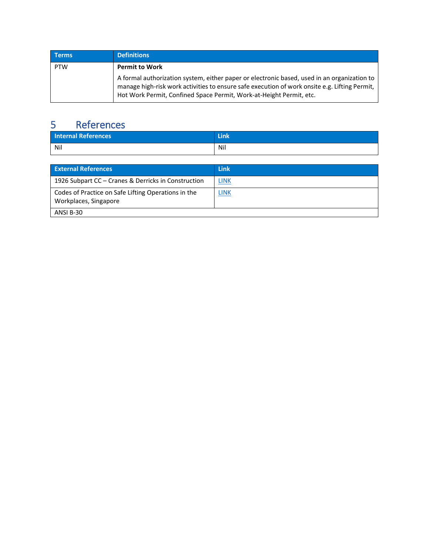| <b>Terms</b> | <b>Definitions</b>                                                                                                                                                                                                                                                                           |
|--------------|----------------------------------------------------------------------------------------------------------------------------------------------------------------------------------------------------------------------------------------------------------------------------------------------|
| <b>PTW</b>   | <b>Permit to Work</b><br>A formal authorization system, either paper or electronic based, used in an organization to<br>manage high-risk work activities to ensure safe execution of work onsite e.g. Lifting Permit,<br>Hot Work Permit, Confined Space Permit, Work-at-Height Permit, etc. |

## <span id="page-6-0"></span>5 References

| <b>Internal References</b> | Link |
|----------------------------|------|
| Nil                        | Nil  |

| <b>External References</b>                                                   | <b>Link</b> |
|------------------------------------------------------------------------------|-------------|
| 1926 Subpart CC – Cranes & Derricks in Construction                          | <u>LINK</u> |
| Codes of Practice on Safe Lifting Operations in the<br>Workplaces, Singapore | LINK        |
| ANSI B-30                                                                    |             |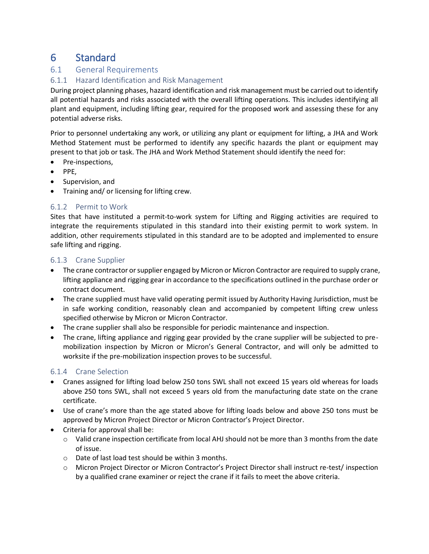## <span id="page-7-0"></span>6 Standard

#### <span id="page-7-1"></span>6.1 General Requirements

#### <span id="page-7-2"></span>6.1.1 Hazard Identification and Risk Management

During project planning phases, hazard identification and risk management must be carried out to identify all potential hazards and risks associated with the overall lifting operations. This includes identifying all plant and equipment, including lifting gear, required for the proposed work and assessing these for any potential adverse risks.

Prior to personnel undertaking any work, or utilizing any plant or equipment for lifting, a JHA and Work Method Statement must be performed to identify any specific hazards the plant or equipment may present to that job or task. The JHA and Work Method Statement should identify the need for:

- Pre-inspections,
- PPE,
- Supervision, and
- Training and/ or licensing for lifting crew.

#### <span id="page-7-3"></span>6.1.2 Permit to Work

Sites that have instituted a permit-to-work system for Lifting and Rigging activities are required to integrate the requirements stipulated in this standard into their existing permit to work system. In addition, other requirements stipulated in this standard are to be adopted and implemented to ensure safe lifting and rigging.

#### <span id="page-7-4"></span>6.1.3 Crane Supplier

- The crane contractor or supplier engaged by Micron or Micron Contractor are required to supply crane, lifting appliance and rigging gear in accordance to the specifications outlined in the purchase order or contract document.
- The crane supplied must have valid operating permit issued by Authority Having Jurisdiction, must be in safe working condition, reasonably clean and accompanied by competent lifting crew unless specified otherwise by Micron or Micron Contractor.
- The crane supplier shall also be responsible for periodic maintenance and inspection.
- The crane, lifting appliance and rigging gear provided by the crane supplier will be subjected to premobilization inspection by Micron or Micron's General Contractor, and will only be admitted to worksite if the pre-mobilization inspection proves to be successful.

#### <span id="page-7-5"></span>6.1.4 Crane Selection

- Cranes assigned for lifting load below 250 tons SWL shall not exceed 15 years old whereas for loads above 250 tons SWL, shall not exceed 5 years old from the manufacturing date state on the crane certificate.
- Use of crane's more than the age stated above for lifting loads below and above 250 tons must be approved by Micron Project Director or Micron Contractor's Project Director.
- Criteria for approval shall be:
	- o Valid crane inspection certificate from local AHJ should not be more than 3 months from the date of issue.
	- o Date of last load test should be within 3 months.
	- o Micron Project Director or Micron Contractor's Project Director shall instruct re-test/ inspection by a qualified crane examiner or reject the crane if it fails to meet the above criteria.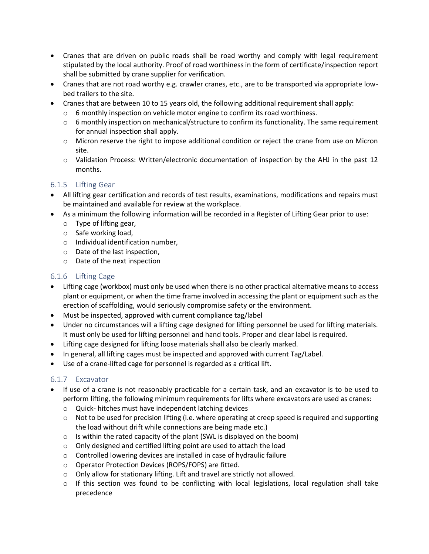- Cranes that are driven on public roads shall be road worthy and comply with legal requirement stipulated by the local authority. Proof of road worthiness in the form of certificate/inspection report shall be submitted by crane supplier for verification.
- Cranes that are not road worthy e.g. crawler cranes, etc., are to be transported via appropriate lowbed trailers to the site.
- Cranes that are between 10 to 15 years old, the following additional requirement shall apply:
	- o 6 monthly inspection on vehicle motor engine to confirm its road worthiness.
	- $\circ$  6 monthly inspection on mechanical/structure to confirm its functionality. The same requirement for annual inspection shall apply.
	- o Micron reserve the right to impose additional condition or reject the crane from use on Micron site.
	- o Validation Process: Written/electronic documentation of inspection by the AHJ in the past 12 months.

#### <span id="page-8-0"></span>6.1.5 Lifting Gear

- All lifting gear certification and records of test results, examinations, modifications and repairs must be maintained and available for review at the workplace.
- As a minimum the following information will be recorded in a Register of Lifting Gear prior to use:
	- o Type of lifting gear,
	- o Safe working load,
	- o Individual identification number,
	- o Date of the last inspection,
	- o Date of the next inspection

#### <span id="page-8-1"></span>6.1.6 Lifting Cage

- Lifting cage (workbox) must only be used when there is no other practical alternative means to access plant or equipment, or when the time frame involved in accessing the plant or equipment such as the erection of scaffolding, would seriously compromise safety or the environment.
- Must be inspected, approved with current compliance tag/label
- Under no circumstances will a lifting cage designed for lifting personnel be used for lifting materials. It must only be used for lifting personnel and hand tools. Proper and clear label is required.
- Lifting cage designed for lifting loose materials shall also be clearly marked.
- In general, all lifting cages must be inspected and approved with current Tag/Label.
- Use of a crane-lifted cage for personnel is regarded as a critical lift.

#### <span id="page-8-2"></span>6.1.7 Excavator

- If use of a crane is not reasonably practicable for a certain task, and an excavator is to be used to perform lifting, the following minimum requirements for lifts where excavators are used as cranes:
	- o Quick- hitches must have independent latching devices
	- $\circ$  Not to be used for precision lifting (i.e. where operating at creep speed is required and supporting the load without drift while connections are being made etc.)
	- $\circ$  Is within the rated capacity of the plant (SWL is displayed on the boom)
	- o Only designed and certified lifting point are used to attach the load
	- o Controlled lowering devices are installed in case of hydraulic failure
	- o Operator Protection Devices (ROPS/FOPS) are fitted.
	- o Only allow for stationary lifting. Lift and travel are strictly not allowed.
	- $\circ$  If this section was found to be conflicting with local legislations, local regulation shall take precedence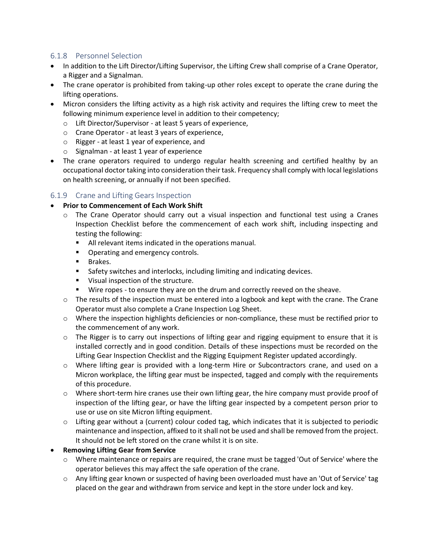#### <span id="page-9-0"></span>6.1.8 Personnel Selection

- In addition to the Lift Director/Lifting Supervisor, the Lifting Crew shall comprise of a Crane Operator, a Rigger and a Signalman.
- The crane operator is prohibited from taking-up other roles except to operate the crane during the lifting operations.
- Micron considers the lifting activity as a high risk activity and requires the lifting crew to meet the following minimum experience level in addition to their competency;
	- o Lift Director/Supervisor at least 5 years of experience,
	- o Crane Operator at least 3 years of experience,
	- o Rigger at least 1 year of experience, and
	- o Signalman at least 1 year of experience
- The crane operators required to undergo regular health screening and certified healthy by an occupational doctor taking into consideration their task. Frequency shall comply with local legislations on health screening, or annually if not been specified.

#### <span id="page-9-1"></span>6.1.9 Crane and Lifting Gears Inspection

#### • **Prior to Commencement of Each Work Shift**

- $\circ$  The Crane Operator should carry out a visual inspection and functional test using a Cranes Inspection Checklist before the commencement of each work shift, including inspecting and testing the following:
	- All relevant items indicated in the operations manual.
	- Operating and emergency controls.
	- Brakes.
	- Safety switches and interlocks, including limiting and indicating devices.
	- Visual inspection of the structure.
	- Wire ropes to ensure they are on the drum and correctly reeved on the sheave.
- $\circ$  The results of the inspection must be entered into a logbook and kept with the crane. The Crane Operator must also complete a Crane Inspection Log Sheet.
- o Where the inspection highlights deficiencies or non-compliance, these must be rectified prior to the commencement of any work.
- $\circ$  The Rigger is to carry out inspections of lifting gear and rigging equipment to ensure that it is installed correctly and in good condition. Details of these inspections must be recorded on the Lifting Gear Inspection Checklist and the Rigging Equipment Register updated accordingly.
- o Where lifting gear is provided with a long-term Hire or Subcontractors crane, and used on a Micron workplace, the lifting gear must be inspected, tagged and comply with the requirements of this procedure.
- $\circ$  Where short-term hire cranes use their own lifting gear, the hire company must provide proof of inspection of the lifting gear, or have the lifting gear inspected by a competent person prior to use or use on site Micron lifting equipment.
- $\circ$  Lifting gear without a (current) colour coded tag, which indicates that it is subjected to periodic maintenance and inspection, affixed to it shall not be used and shall be removed from the project. It should not be left stored on the crane whilst it is on site.

#### • **Removing Lifting Gear from Service**

- o Where maintenance or repairs are required, the crane must be tagged 'Out of Service' where the operator believes this may affect the safe operation of the crane.
- o Any lifting gear known or suspected of having been overloaded must have an 'Out of Service' tag placed on the gear and withdrawn from service and kept in the store under lock and key.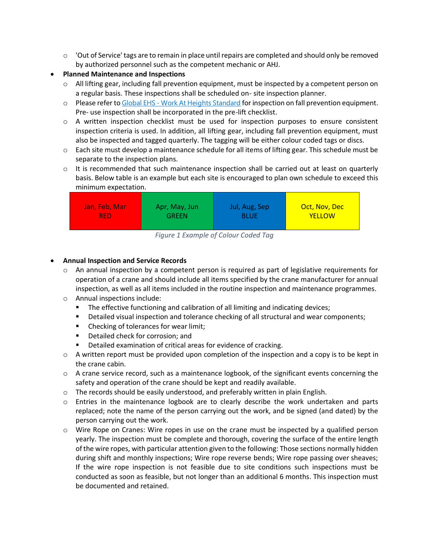- $\circ$  'Out of Service' tags are to remain in place until repairs are completed and should only be removed by authorized personnel such as the competent mechanic or AHJ.
- **Planned Maintenance and Inspections**
	- $\circ$  All lifting gear, including fall prevention equipment, must be inspected by a competent person on a regular basis. These inspections shall be scheduled on- site inspection planner.
	- o Please refer to Global EHS [Work At Heights Standard](https://edc.micron.com/mti/EHS08/_layouts/15/DocIdRedir.aspx?ID=2W4373RQWREN-1568922467-48) for inspection on fall prevention equipment. Pre- use inspection shall be incorporated in the pre-lift checklist.
	- $\circ$  A written inspection checklist must be used for inspection purposes to ensure consistent inspection criteria is used. In addition, all lifting gear, including fall prevention equipment, must also be inspected and tagged quarterly. The tagging will be either colour coded tags or discs.
	- o Each site must develop a maintenance schedule for all items of lifting gear. This schedule must be separate to the inspection plans.
	- $\circ$  It is recommended that such maintenance inspection shall be carried out at least on quarterly basis. Below table is an example but each site is encouraged to plan own schedule to exceed this minimum expectation.

| Jan, Feb, Mar | Apr, May, Jun | Jul, Aug, Sep | Oct, Nov, Dec |
|---------------|---------------|---------------|---------------|
| RED.          | GREEN         | BLUE          | <b>YELLOW</b> |

*Figure 1 Example of Colour Coded Tag*

#### <span id="page-10-0"></span>• **Annual Inspection and Service Records**

- $\circ$  An annual inspection by a competent person is required as part of legislative requirements for operation of a crane and should include all items specified by the crane manufacturer for annual inspection, as well as all items included in the routine inspection and maintenance programmes.
- o Annual inspections include:
	- **The effective functioning and calibration of all limiting and indicating devices;**
	- Detailed visual inspection and tolerance checking of all structural and wear components;
	- Checking of tolerances for wear limit;
	- Detailed check for corrosion: and
	- Detailed examination of critical areas for evidence of cracking.
- $\circ$  A written report must be provided upon completion of the inspection and a copy is to be kept in the crane cabin.
- $\circ$  A crane service record, such as a maintenance logbook, of the significant events concerning the safety and operation of the crane should be kept and readily available.
- $\circ$  The records should be easily understood, and preferably written in plain English.
- o Entries in the maintenance logbook are to clearly describe the work undertaken and parts replaced; note the name of the person carrying out the work, and be signed (and dated) by the person carrying out the work.
- $\circ$  Wire Rope on Cranes: Wire ropes in use on the crane must be inspected by a qualified person yearly. The inspection must be complete and thorough, covering the surface of the entire length of the wire ropes, with particular attention given to the following: Those sections normally hidden during shift and monthly inspections; Wire rope reverse bends; Wire rope passing over sheaves; If the wire rope inspection is not feasible due to site conditions such inspections must be conducted as soon as feasible, but not longer than an additional 6 months. This inspection must be documented and retained.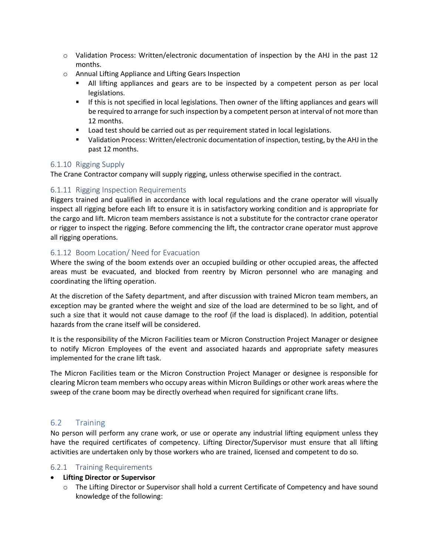- $\circ$  Validation Process: Written/electronic documentation of inspection by the AHJ in the past 12 months.
- o Annual Lifting Appliance and Lifting Gears Inspection
	- **E** All lifting appliances and gears are to be inspected by a competent person as per local legislations.
	- **■** If this is not specified in local legislations. Then owner of the lifting appliances and gears will be required to arrange for such inspection by a competent person at interval of not more than 12 months.
	- Load test should be carried out as per requirement stated in local legislations.
	- Validation Process: Written/electronic documentation of inspection, testing, by the AHJ in the past 12 months.

#### <span id="page-11-0"></span>6.1.10 Rigging Supply

The Crane Contractor company will supply rigging, unless otherwise specified in the contract.

#### <span id="page-11-1"></span>6.1.11 Rigging Inspection Requirements

Riggers trained and qualified in accordance with local regulations and the crane operator will visually inspect all rigging before each lift to ensure it is in satisfactory working condition and is appropriate for the cargo and lift. Micron team members assistance is not a substitute for the contractor crane operator or rigger to inspect the rigging. Before commencing the lift, the contractor crane operator must approve all rigging operations.

#### <span id="page-11-2"></span>6.1.12 Boom Location/ Need for Evacuation

Where the swing of the boom extends over an occupied building or other occupied areas, the affected areas must be evacuated, and blocked from reentry by Micron personnel who are managing and coordinating the lifting operation.

At the discretion of the Safety department, and after discussion with trained Micron team members, an exception may be granted where the weight and size of the load are determined to be so light, and of such a size that it would not cause damage to the roof (if the load is displaced). In addition, potential hazards from the crane itself will be considered.

It is the responsibility of the Micron Facilities team or Micron Construction Project Manager or designee to notify Micron Employees of the event and associated hazards and appropriate safety measures implemented for the crane lift task.

The Micron Facilities team or the Micron Construction Project Manager or designee is responsible for clearing Micron team members who occupy areas within Micron Buildings or other work areas where the sweep of the crane boom may be directly overhead when required for significant crane lifts.

#### <span id="page-11-3"></span>6.2 Training

No person will perform any crane work, or use or operate any industrial lifting equipment unless they have the required certificates of competency. Lifting Director/Supervisor must ensure that all lifting activities are undertaken only by those workers who are trained, licensed and competent to do so.

#### <span id="page-11-4"></span>6.2.1 Training Requirements

#### • **Lifting Director or Supervisor**

o The Lifting Director or Supervisor shall hold a current Certificate of Competency and have sound knowledge of the following: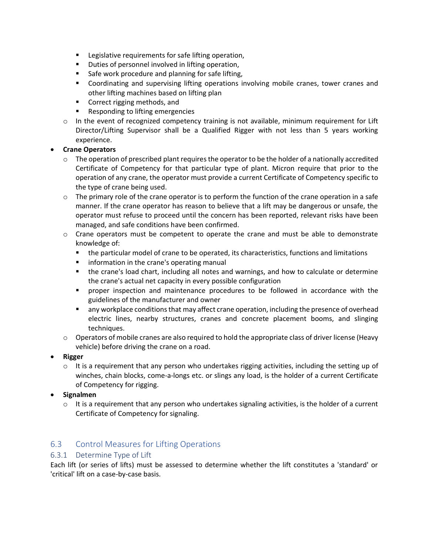- Legislative requirements for safe lifting operation,
- Duties of personnel involved in lifting operation,
- Safe work procedure and planning for safe lifting,
- Coordinating and supervising lifting operations involving mobile cranes, tower cranes and other lifting machines based on lifting plan
- Correct rigging methods, and
- Responding to lifting emergencies
- $\circ$  In the event of recognized competency training is not available, minimum requirement for Lift Director/Lifting Supervisor shall be a Qualified Rigger with not less than 5 years working experience.

#### • **Crane Operators**

- $\circ$  The operation of prescribed plant requires the operator to be the holder of a nationally accredited Certificate of Competency for that particular type of plant. Micron require that prior to the operation of any crane, the operator must provide a current Certificate of Competency specific to the type of crane being used.
- $\circ$  The primary role of the crane operator is to perform the function of the crane operation in a safe manner. If the crane operator has reason to believe that a lift may be dangerous or unsafe, the operator must refuse to proceed until the concern has been reported, relevant risks have been managed, and safe conditions have been confirmed.
- $\circ$  Crane operators must be competent to operate the crane and must be able to demonstrate knowledge of:
	- the particular model of crane to be operated, its characteristics, functions and limitations
	- **E** information in the crane's operating manual
	- the crane's load chart, including all notes and warnings, and how to calculate or determine the crane's actual net capacity in every possible configuration
	- proper inspection and maintenance procedures to be followed in accordance with the guidelines of the manufacturer and owner
	- **■** any workplace conditions that may affect crane operation, including the presence of overhead electric lines, nearby structures, cranes and concrete placement booms, and slinging techniques.
- $\circ$  Operators of mobile cranes are also required to hold the appropriate class of driver license (Heavy vehicle) before driving the crane on a road.
- **Rigger** 
	- $\circ$  It is a requirement that any person who undertakes rigging activities, including the setting up of winches, chain blocks, come-a-longs etc. or slings any load, is the holder of a current Certificate of Competency for rigging.
- **Signalmen**
	- $\circ$  It is a requirement that any person who undertakes signaling activities, is the holder of a current Certificate of Competency for signaling.

#### <span id="page-12-0"></span>6.3 Control Measures for Lifting Operations

#### <span id="page-12-1"></span>6.3.1 Determine Type of Lift

Each lift (or series of lifts) must be assessed to determine whether the lift constitutes a 'standard' or 'critical' lift on a case-by-case basis.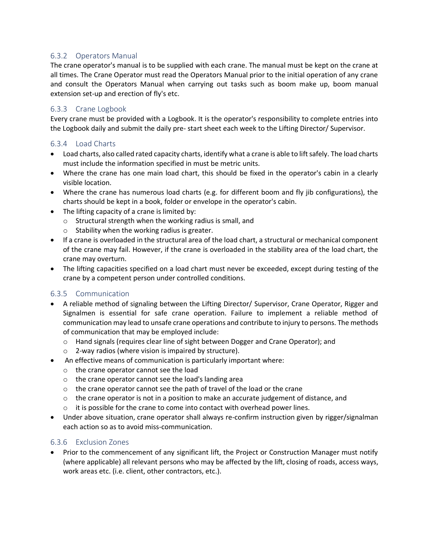#### <span id="page-13-0"></span>6.3.2 Operators Manual

The crane operator's manual is to be supplied with each crane. The manual must be kept on the crane at all times. The Crane Operator must read the Operators Manual prior to the initial operation of any crane and consult the Operators Manual when carrying out tasks such as boom make up, boom manual extension set-up and erection of fly's etc.

#### <span id="page-13-1"></span>6.3.3 Crane Logbook

Every crane must be provided with a Logbook. It is the operator's responsibility to complete entries into the Logbook daily and submit the daily pre- start sheet each week to the Lifting Director/ Supervisor.

#### <span id="page-13-2"></span>6.3.4 Load Charts

- Load charts, also called rated capacity charts, identify what a crane is able to lift safely. The load charts must include the information specified in must be metric units.
- Where the crane has one main load chart, this should be fixed in the operator's cabin in a clearly visible location.
- Where the crane has numerous load charts (e.g. for different boom and fly jib configurations), the charts should be kept in a book, folder or envelope in the operator's cabin.
- The lifting capacity of a crane is limited by:
	- o Structural strength when the working radius is small, and
	- o Stability when the working radius is greater.
- If a crane is overloaded in the structural area of the load chart, a structural or mechanical component of the crane may fail. However, if the crane is overloaded in the stability area of the load chart, the crane may overturn.
- The lifting capacities specified on a load chart must never be exceeded, except during testing of the crane by a competent person under controlled conditions.

#### <span id="page-13-3"></span>6.3.5 Communication

- A reliable method of signaling between the Lifting Director/ Supervisor, Crane Operator, Rigger and Signalmen is essential for safe crane operation. Failure to implement a reliable method of communication may lead to unsafe crane operations and contribute to injury to persons. The methods of communication that may be employed include:
	- o Hand signals (requires clear line of sight between Dogger and Crane Operator); and
	- o 2-way radios (where vision is impaired by structure).
- An effective means of communication is particularly important where:
	- o the crane operator cannot see the load
	- o the crane operator cannot see the load's landing area
	- o the crane operator cannot see the path of travel of the load or the crane
	- $\circ$  the crane operator is not in a position to make an accurate judgement of distance, and
	- o it is possible for the crane to come into contact with overhead power lines.
- Under above situation, crane operator shall always re-confirm instruction given by rigger/signalman each action so as to avoid miss-communication.

#### <span id="page-13-4"></span>6.3.6 Exclusion Zones

• Prior to the commencement of any significant lift, the Project or Construction Manager must notify (where applicable) all relevant persons who may be affected by the lift, closing of roads, access ways, work areas etc. (i.e. client, other contractors, etc.).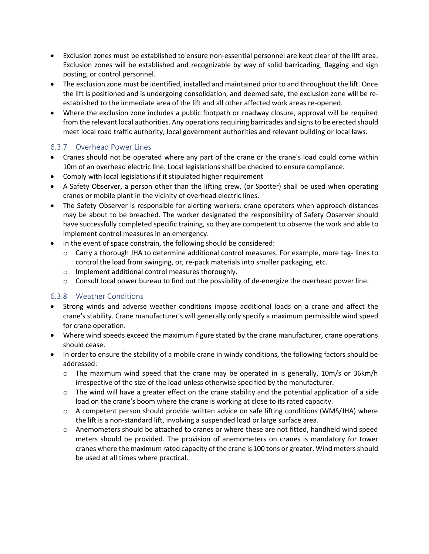- Exclusion zones must be established to ensure non-essential personnel are kept clear of the lift area. Exclusion zones will be established and recognizable by way of solid barricading, flagging and sign posting, or control personnel.
- The exclusion zone must be identified, installed and maintained prior to and throughout the lift. Once the lift is positioned and is undergoing consolidation, and deemed safe, the exclusion zone will be reestablished to the immediate area of the lift and all other affected work areas re-opened.
- Where the exclusion zone includes a public footpath or roadway closure, approval will be required from the relevant local authorities. Any operations requiring barricades and signs to be erected should meet local road traffic authority, local government authorities and relevant building or local laws.

#### <span id="page-14-0"></span>6.3.7 Overhead Power Lines

- Cranes should not be operated where any part of the crane or the crane's load could come within 10m of an overhead electric line. Local legislations shall be checked to ensure compliance.
- Comply with local legislations if it stipulated higher requirement
- A Safety Observer, a person other than the lifting crew, (or Spotter) shall be used when operating cranes or mobile plant in the vicinity of overhead electric lines.
- The Safety Observer is responsible for alerting workers, crane operators when approach distances may be about to be breached. The worker designated the responsibility of Safety Observer should have successfully completed specific training, so they are competent to observe the work and able to implement control measures in an emergency.
- In the event of space constrain, the following should be considered:
	- $\circ$  Carry a thorough JHA to determine additional control measures. For example, more tag-lines to control the load from swinging, or, re-pack materials into smaller packaging, etc.
	- o Implement additional control measures thoroughly.
	- $\circ$  Consult local power bureau to find out the possibility of de-energize the overhead power line.

#### <span id="page-14-1"></span>6.3.8 Weather Conditions

- Strong winds and adverse weather conditions impose additional loads on a crane and affect the crane's stability. Crane manufacturer's will generally only specify a maximum permissible wind speed for crane operation.
- Where wind speeds exceed the maximum figure stated by the crane manufacturer, crane operations should cease.
- In order to ensure the stability of a mobile crane in windy conditions, the following factors should be addressed:
	- $\circ$  The maximum wind speed that the crane may be operated in is generally, 10m/s or 36km/h irrespective of the size of the load unless otherwise specified by the manufacturer.
	- $\circ$  The wind will have a greater effect on the crane stability and the potential application of a side load on the crane's boom where the crane is working at close to its rated capacity.
	- $\circ$  A competent person should provide written advice on safe lifting conditions (WMS/JHA) where the lift is a non-standard lift, involving a suspended load or large surface area.
	- o Anemometers should be attached to cranes or where these are not fitted, handheld wind speed meters should be provided. The provision of anemometers on cranes is mandatory for tower cranes where the maximum rated capacity of the crane is 100 tons or greater. Wind meters should be used at all times where practical.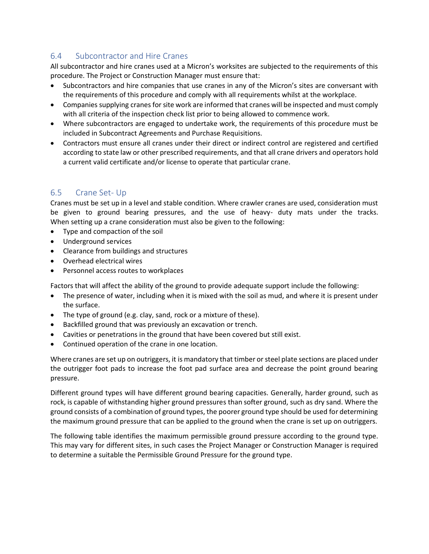#### <span id="page-15-0"></span>6.4 Subcontractor and Hire Cranes

All subcontractor and hire cranes used at a Micron's worksites are subjected to the requirements of this procedure. The Project or Construction Manager must ensure that:

- Subcontractors and hire companies that use cranes in any of the Micron's sites are conversant with the requirements of this procedure and comply with all requirements whilst at the workplace.
- Companies supplying cranes for site work are informed that cranes will be inspected and must comply with all criteria of the inspection check list prior to being allowed to commence work.
- Where subcontractors are engaged to undertake work, the requirements of this procedure must be included in Subcontract Agreements and Purchase Requisitions.
- Contractors must ensure all cranes under their direct or indirect control are registered and certified according to state law or other prescribed requirements, and that all crane drivers and operators hold a current valid certificate and/or license to operate that particular crane.

#### <span id="page-15-1"></span>6.5 Crane Set- Up

Cranes must be set up in a level and stable condition. Where crawler cranes are used, consideration must be given to ground bearing pressures, and the use of heavy- duty mats under the tracks. When setting up a crane consideration must also be given to the following:

- Type and compaction of the soil
- Underground services
- Clearance from buildings and structures
- Overhead electrical wires
- Personnel access routes to workplaces

Factors that will affect the ability of the ground to provide adequate support include the following:

- The presence of water, including when it is mixed with the soil as mud, and where it is present under the surface.
- The type of ground (e.g. clay, sand, rock or a mixture of these).
- Backfilled ground that was previously an excavation or trench.
- Cavities or penetrations in the ground that have been covered but still exist.
- Continued operation of the crane in one location.

Where cranes are set up on outriggers, it is mandatory that timber or steel plate sections are placed under the outrigger foot pads to increase the foot pad surface area and decrease the point ground bearing pressure.

Different ground types will have different ground bearing capacities. Generally, harder ground, such as rock, is capable of withstanding higher ground pressures than softer ground, such as dry sand. Where the ground consists of a combination of ground types, the poorer ground type should be used for determining the maximum ground pressure that can be applied to the ground when the crane is set up on outriggers.

The following table identifies the maximum permissible ground pressure according to the ground type. This may vary for different sites, in such cases the Project Manager or Construction Manager is required to determine a suitable the Permissible Ground Pressure for the ground type.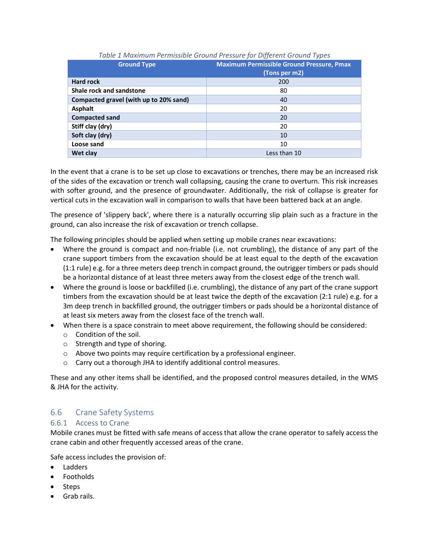<span id="page-16-2"></span>

| <b>Ground Type</b>                     | <b>Maximum Permissible Ground Pressure, Pmax</b><br>(Tons per m2) |
|----------------------------------------|-------------------------------------------------------------------|
| <b>Hard rock</b>                       | 200                                                               |
| Shale rock and sandstone               | 80                                                                |
| Compacted gravel (with up to 20% sand) | 40                                                                |
| <b>Asphalt</b>                         | 20                                                                |
| <b>Compacted sand</b>                  | 20                                                                |
| Stiff clay (dry)                       | 20                                                                |
| Soft clay (dry)                        | 10                                                                |
| Loose sand                             | 10                                                                |
| Wet clay                               | Less than 10                                                      |

#### *Table 1 Maximum Permissible Ground Pressure for Different Ground Types*

In the event that a crane is to be set up close to excavations or trenches, there may be an increased risk of the sides of the excavation or trench wall collapsing, causing the crane to overturn. This risk increases with softer ground, and the presence of groundwater. Additionally, the risk of collapse is greater for vertical cuts in the excavation wall in comparison to walls that have been battered back at an angle.

The presence of 'slippery back', where there is a naturally occurring slip plain such as a fracture in the ground, can also increase the risk of excavation or trench collapse.

The following principles should be applied when setting up mobile cranes near excavations:

- Where the ground is compact and non-friable (i.e. not crumbling), the distance of any part of the crane support timbers from the excavation should be at least equal to the depth of the excavation (1:1 rule) e.g. for a three meters deep trench in compact ground, the outrigger timbers or pads should be a horizontal distance of at least three meters away from the closest edge of the trench wall.
- Where the ground is loose or backfilled (i.e. crumbling), the distance of any part of the crane support timbers from the excavation should be at least twice the depth of the excavation (2:1 rule) e.g. for a 3m deep trench in backfilled ground, the outrigger timbers or pads should be a horizontal distance of at least six meters away from the closest face of the trench wall.
- When there is a space constrain to meet above requirement, the following should be considered:
	- o Condition of the soil.
	- o Strength and type of shoring.
	- o Above two points may require certification by a professional engineer.
	- o Carry out a thorough JHA to identify additional control measures.

These and any other items shall be identified, and the proposed control measures detailed, in the WMS & JHA for the activity.

#### <span id="page-16-0"></span>6.6 Crane Safety Systems

#### <span id="page-16-1"></span>6.6.1 Access to Crane

Mobile cranes must be fitted with safe means of access that allow the crane operator to safely access the crane cabin and other frequently accessed areas of the crane.

Safe access includes the provision of:

- Ladders
- Footholds
- Steps
- Grab rails.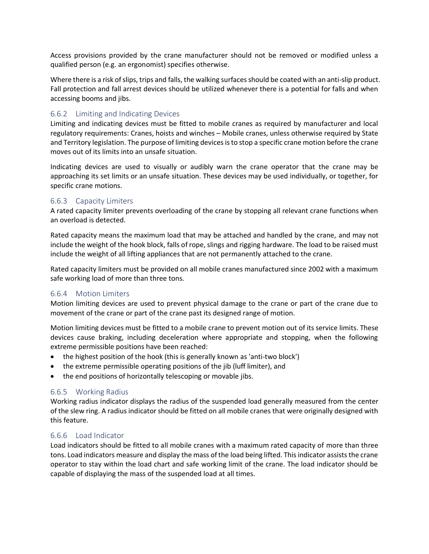Access provisions provided by the crane manufacturer should not be removed or modified unless a qualified person (e.g. an ergonomist) specifies otherwise.

Where there is a risk of slips, trips and falls, the walking surfaces should be coated with an anti-slip product. Fall protection and fall arrest devices should be utilized whenever there is a potential for falls and when accessing booms and jibs.

#### <span id="page-17-0"></span>6.6.2 Limiting and Indicating Devices

Limiting and indicating devices must be fitted to mobile cranes as required by manufacturer and local regulatory requirements: Cranes, hoists and winches – Mobile cranes, unless otherwise required by State and Territory legislation. The purpose of limiting devices is to stop a specific crane motion before the crane moves out of its limits into an unsafe situation.

Indicating devices are used to visually or audibly warn the crane operator that the crane may be approaching its set limits or an unsafe situation. These devices may be used individually, or together, for specific crane motions.

#### <span id="page-17-1"></span>6.6.3 Capacity Limiters

A rated capacity limiter prevents overloading of the crane by stopping all relevant crane functions when an overload is detected.

Rated capacity means the maximum load that may be attached and handled by the crane, and may not include the weight of the hook block, falls of rope, slings and rigging hardware. The load to be raised must include the weight of all lifting appliances that are not permanently attached to the crane.

Rated capacity limiters must be provided on all mobile cranes manufactured since 2002 with a maximum safe working load of more than three tons.

#### <span id="page-17-2"></span>6.6.4 Motion Limiters

Motion limiting devices are used to prevent physical damage to the crane or part of the crane due to movement of the crane or part of the crane past its designed range of motion.

Motion limiting devices must be fitted to a mobile crane to prevent motion out of its service limits. These devices cause braking, including deceleration where appropriate and stopping, when the following extreme permissible positions have been reached:

- the highest position of the hook (this is generally known as 'anti-two block')
- the extreme permissible operating positions of the jib (luff limiter), and
- the end positions of horizontally telescoping or movable jibs.

#### <span id="page-17-3"></span>6.6.5 Working Radius

Working radius indicator displays the radius of the suspended load generally measured from the center of the slew ring. A radius indicator should be fitted on all mobile cranes that were originally designed with this feature.

#### <span id="page-17-4"></span>6.6.6 Load Indicator

Load indicators should be fitted to all mobile cranes with a maximum rated capacity of more than three tons. Load indicators measure and display the mass of the load being lifted. This indicator assists the crane operator to stay within the load chart and safe working limit of the crane. The load indicator should be capable of displaying the mass of the suspended load at all times.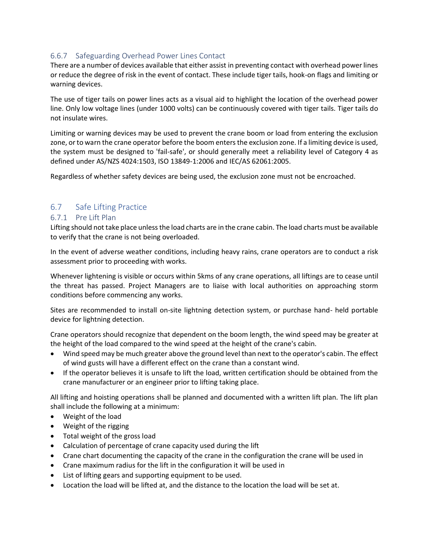#### <span id="page-18-0"></span>6.6.7 Safeguarding Overhead Power Lines Contact

There are a number of devices available that either assist in preventing contact with overhead power lines or reduce the degree of risk in the event of contact. These include tiger tails, hook-on flags and limiting or warning devices.

The use of tiger tails on power lines acts as a visual aid to highlight the location of the overhead power line. Only low voltage lines (under 1000 volts) can be continuously covered with tiger tails. Tiger tails do not insulate wires.

Limiting or warning devices may be used to prevent the crane boom or load from entering the exclusion zone, or to warn the crane operator before the boom enters the exclusion zone. If a limiting device is used, the system must be designed to 'fail-safe', or should generally meet a reliability level of Category 4 as defined under AS/NZS 4024:1503, ISO 13849-1:2006 and IEC/AS 62061:2005.

Regardless of whether safety devices are being used, the exclusion zone must not be encroached.

#### <span id="page-18-1"></span>6.7 Safe Lifting Practice

#### <span id="page-18-2"></span>6.7.1 Pre Lift Plan

Lifting should not take place unless the load charts are in the crane cabin. The load charts must be available to verify that the crane is not being overloaded.

In the event of adverse weather conditions, including heavy rains, crane operators are to conduct a risk assessment prior to proceeding with works.

Whenever lightening is visible or occurs within 5kms of any crane operations, all liftings are to cease until the threat has passed. Project Managers are to liaise with local authorities on approaching storm conditions before commencing any works.

Sites are recommended to install on-site lightning detection system, or purchase hand- held portable device for lightning detection.

Crane operators should recognize that dependent on the boom length, the wind speed may be greater at the height of the load compared to the wind speed at the height of the crane's cabin.

- Wind speed may be much greater above the ground level than next to the operator's cabin. The effect of wind gusts will have a different effect on the crane than a constant wind.
- If the operator believes it is unsafe to lift the load, written certification should be obtained from the crane manufacturer or an engineer prior to lifting taking place.

All lifting and hoisting operations shall be planned and documented with a written lift plan. The lift plan shall include the following at a minimum:

- Weight of the load
- Weight of the rigging
- Total weight of the gross load
- Calculation of percentage of crane capacity used during the lift
- Crane chart documenting the capacity of the crane in the configuration the crane will be used in
- Crane maximum radius for the lift in the configuration it will be used in
- List of lifting gears and supporting equipment to be used.
- Location the load will be lifted at, and the distance to the location the load will be set at.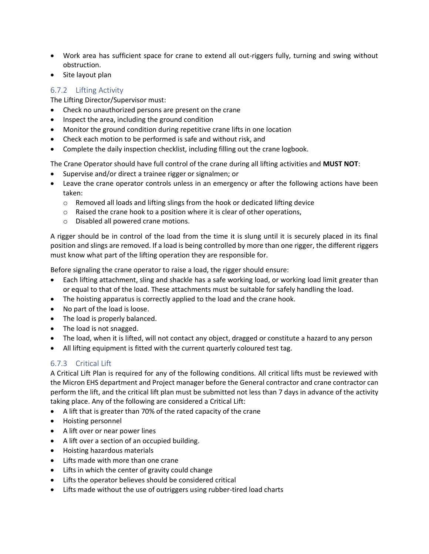- Work area has sufficient space for crane to extend all out-riggers fully, turning and swing without obstruction.
- Site layout plan

#### <span id="page-19-0"></span>6.7.2 Lifting Activity

The Lifting Director/Supervisor must:

- Check no unauthorized persons are present on the crane
- Inspect the area, including the ground condition
- Monitor the ground condition during repetitive crane lifts in one location
- Check each motion to be performed is safe and without risk, and
- Complete the daily inspection checklist, including filling out the crane logbook.

The Crane Operator should have full control of the crane during all lifting activities and **MUST NOT**:

- Supervise and/or direct a trainee rigger or signalmen; or
- Leave the crane operator controls unless in an emergency or after the following actions have been taken:
	- o Removed all loads and lifting slings from the hook or dedicated lifting device
	- o Raised the crane hook to a position where it is clear of other operations,
	- o Disabled all powered crane motions.

A rigger should be in control of the load from the time it is slung until it is securely placed in its final position and slings are removed. If a load is being controlled by more than one rigger, the different riggers must know what part of the lifting operation they are responsible for.

Before signaling the crane operator to raise a load, the rigger should ensure:

- Each lifting attachment, sling and shackle has a safe working load, or working load limit greater than or equal to that of the load. These attachments must be suitable for safely handling the load.
- The hoisting apparatus is correctly applied to the load and the crane hook.
- No part of the load is loose.
- The load is properly balanced.
- The load is not snagged.
- The load, when it is lifted, will not contact any object, dragged or constitute a hazard to any person
- All lifting equipment is fitted with the current quarterly coloured test tag.

#### <span id="page-19-1"></span>6.7.3 Critical Lift

A Critical Lift Plan is required for any of the following conditions. All critical lifts must be reviewed with the Micron EHS department and Project manager before the General contractor and crane contractor can perform the lift, and the critical lift plan must be submitted not less than 7 days in advance of the activity taking place. Any of the following are considered a Critical Lift:

- A lift that is greater than 70% of the rated capacity of the crane
- Hoisting personnel
- A lift over or near power lines
- A lift over a section of an occupied building.
- Hoisting hazardous materials
- Lifts made with more than one crane
- Lifts in which the center of gravity could change
- Lifts the operator believes should be considered critical
- Lifts made without the use of outriggers using rubber-tired load charts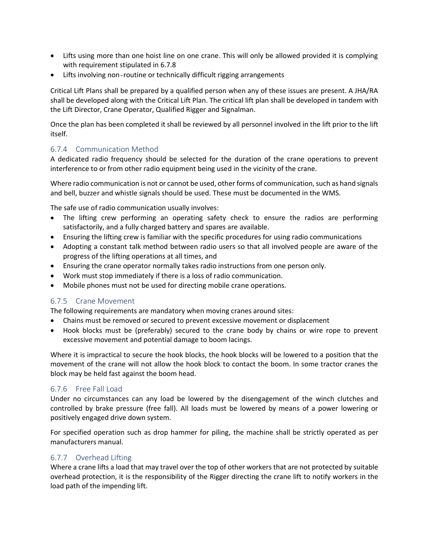- Lifts using more than one hoist line on one crane. This will only be allowed provided it is complying with requirement stipulated in 6.7.8
- Lifts involving non‐routine or technically difficult rigging arrangements

Critical Lift Plans shall be prepared by a qualified person when any of these issues are present. A JHA/RA shall be developed along with the Critical Lift Plan. The critical lift plan shall be developed in tandem with the Lift Director, Crane Operator, Qualified Rigger and Signalman.

Once the plan has been completed it shall be reviewed by all personnel involved in the lift prior to the lift itself.

#### <span id="page-20-0"></span>6.7.4 Communication Method

A dedicated radio frequency should be selected for the duration of the crane operations to prevent interference to or from other radio equipment being used in the vicinity of the crane.

Where radio communication is not or cannot be used, other forms of communication, such as hand signals and bell, buzzer and whistle signals should be used. These must be documented in the WMS.

The safe use of radio communication usually involves:

- The lifting crew performing an operating safety check to ensure the radios are performing satisfactorily, and a fully charged battery and spares are available.
- Ensuring the lifting crew is familiar with the specific procedures for using radio communications
- Adopting a constant talk method between radio users so that all involved people are aware of the progress of the lifting operations at all times, and
- Ensuring the crane operator normally takes radio instructions from one person only.
- Work must stop immediately if there is a loss of radio communication.
- Mobile phones must not be used for directing mobile crane operations.

#### <span id="page-20-1"></span>6.7.5 Crane Movement

The following requirements are mandatory when moving cranes around sites:

- Chains must be removed or secured to prevent excessive movement or displacement
- Hook blocks must be (preferably) secured to the crane body by chains or wire rope to prevent excessive movement and potential damage to boom lacings.

Where it is impractical to secure the hook blocks, the hook blocks will be lowered to a position that the movement of the crane will not allow the hook block to contact the boom. In some tractor cranes the block may be held fast against the boom head.

#### <span id="page-20-2"></span>6.7.6 Free Fall Load

Under no circumstances can any load be lowered by the disengagement of the winch clutches and controlled by brake pressure (free fall). All loads must be lowered by means of a power lowering or positively engaged drive down system.

For specified operation such as drop hammer for piling, the machine shall be strictly operated as per manufacturers manual.

#### <span id="page-20-3"></span>6.7.7 Overhead Lifting

Where a crane lifts a load that may travel over the top of other workers that are not protected by suitable overhead protection, it is the responsibility of the Rigger directing the crane lift to notify workers in the load path of the impending lift.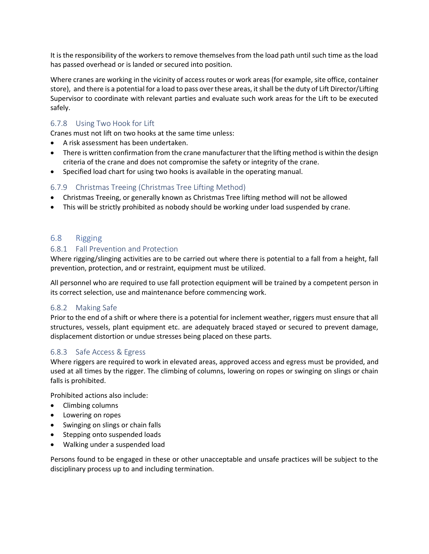It is the responsibility of the workers to remove themselves from the load path until such time as the load has passed overhead or is landed or secured into position.

Where cranes are working in the vicinity of access routes or work areas (for example, site office, container store), and there is a potential for a load to pass over these areas, it shall be the duty of Lift Director/Lifting Supervisor to coordinate with relevant parties and evaluate such work areas for the Lift to be executed safely.

#### <span id="page-21-0"></span>6.7.8 Using Two Hook for Lift

Cranes must not lift on two hooks at the same time unless:

- A risk assessment has been undertaken.
- There is written confirmation from the crane manufacturer that the lifting method is within the design criteria of the crane and does not compromise the safety or integrity of the crane.
- Specified load chart for using two hooks is available in the operating manual.

#### <span id="page-21-1"></span>6.7.9 Christmas Treeing (Christmas Tree Lifting Method)

- Christmas Treeing, or generally known as Christmas Tree lifting method will not be allowed
- This will be strictly prohibited as nobody should be working under load suspended by crane.

#### <span id="page-21-2"></span>6.8 Rigging

#### <span id="page-21-3"></span>6.8.1 Fall Prevention and Protection

Where rigging/slinging activities are to be carried out where there is potential to a fall from a height, fall prevention, protection, and or restraint, equipment must be utilized.

All personnel who are required to use fall protection equipment will be trained by a competent person in its correct selection, use and maintenance before commencing work.

#### <span id="page-21-4"></span>6.8.2 Making Safe

Prior to the end of a shift or where there is a potential for inclement weather, riggers must ensure that all structures, vessels, plant equipment etc. are adequately braced stayed or secured to prevent damage, displacement distortion or undue stresses being placed on these parts.

#### <span id="page-21-5"></span>6.8.3 Safe Access & Egress

Where riggers are required to work in elevated areas, approved access and egress must be provided, and used at all times by the rigger. The climbing of columns, lowering on ropes or swinging on slings or chain falls is prohibited.

Prohibited actions also include:

- Climbing columns
- Lowering on ropes
- Swinging on slings or chain falls
- Stepping onto suspended loads
- Walking under a suspended load

Persons found to be engaged in these or other unacceptable and unsafe practices will be subject to the disciplinary process up to and including termination.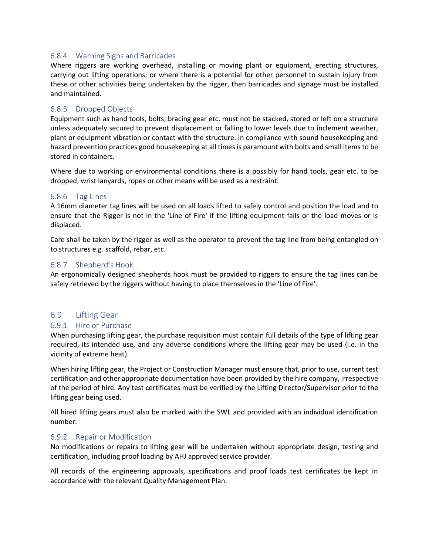#### <span id="page-22-0"></span>6.8.4 Warning Signs and Barricades

Where riggers are working overhead, installing or moving plant or equipment, erecting structures, carrying out lifting operations; or where there is a potential for other personnel to sustain injury from these or other activities being undertaken by the rigger, then barricades and signage must be installed and maintained.

#### <span id="page-22-1"></span>6.8.5 Dropped Objects

Equipment such as hand tools, bolts, bracing gear etc. must not be stacked, stored or left on a structure unless adequately secured to prevent displacement or falling to lower levels due to inclement weather, plant or equipment vibration or contact with the structure. In compliance with sound housekeeping and hazard prevention practices good housekeeping at all times is paramount with bolts and small items to be stored in containers.

Where due to working or environmental conditions there is a possibly for hand tools, gear etc. to be dropped, wrist lanyards, ropes or other means will be used as a restraint.

#### <span id="page-22-2"></span>6.8.6 Tag Lines

A 16mm diameter tag lines will be used on all loads lifted to safely control and position the load and to ensure that the Rigger is not in the 'Line of Fire' if the lifting equipment fails or the load moves or is displaced.

Care shall be taken by the rigger as well as the operator to prevent the tag line from being entangled on to structures e.g. scaffold, rebar, etc.

#### <span id="page-22-3"></span>6.8.7 Shepherd's Hook

An ergonomically designed shepherds hook must be provided to riggers to ensure the tag lines can be safely retrieved by the riggers without having to place themselves in the 'Line of Fire'.

#### <span id="page-22-4"></span>6.9 Lifting Gear

#### <span id="page-22-5"></span>6.9.1 Hire or Purchase

When purchasing lifting gear, the purchase requisition must contain full details of the type of lifting gear required, its intended use, and any adverse conditions where the lifting gear may be used (i.e. in the vicinity of extreme heat).

When hiring lifting gear, the Project or Construction Manager must ensure that, prior to use, current test certification and other appropriate documentation have been provided by the hire company, irrespective of the period of hire. Any test certificates must be verified by the Lifting Director/Supervisor prior to the lifting gear being used.

All hired lifting gears must also be marked with the SWL and provided with an individual identification number.

#### <span id="page-22-6"></span>6.9.2 Repair or Modification

No modifications or repairs to lifting gear will be undertaken without appropriate design, testing and certification, including proof loading by AHJ approved service provider.

All records of the engineering approvals, specifications and proof loads test certificates be kept in accordance with the relevant Quality Management Plan.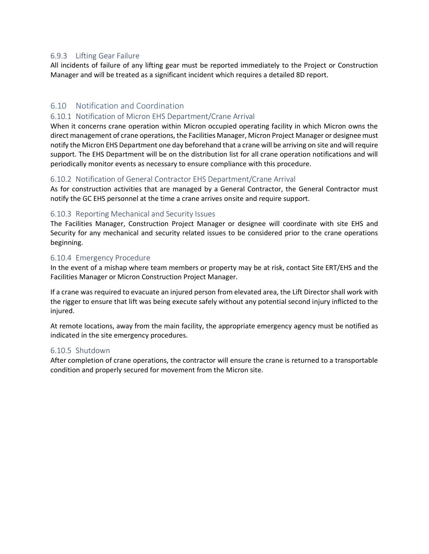#### <span id="page-23-0"></span>6.9.3 Lifting Gear Failure

All incidents of failure of any lifting gear must be reported immediately to the Project or Construction Manager and will be treated as a significant incident which requires a detailed 8D report.

#### <span id="page-23-1"></span>6.10 Notification and Coordination

#### <span id="page-23-2"></span>6.10.1 Notification of Micron EHS Department/Crane Arrival

When it concerns crane operation within Micron occupied operating facility in which Micron owns the direct management of crane operations, the Facilities Manager, Micron Project Manager or designee must notify the Micron EHS Department one day beforehand that a crane will be arriving on site and will require support. The EHS Department will be on the distribution list for all crane operation notifications and will periodically monitor events as necessary to ensure compliance with this procedure.

#### <span id="page-23-3"></span>6.10.2 Notification of General Contractor EHS Department/Crane Arrival

As for construction activities that are managed by a General Contractor, the General Contractor must notify the GC EHS personnel at the time a crane arrives onsite and require support.

#### <span id="page-23-4"></span>6.10.3 Reporting Mechanical and Security Issues

The Facilities Manager, Construction Project Manager or designee will coordinate with site EHS and Security for any mechanical and security related issues to be considered prior to the crane operations beginning.

#### <span id="page-23-5"></span>6.10.4 Emergency Procedure

In the event of a mishap where team members or property may be at risk, contact Site ERT/EHS and the Facilities Manager or Micron Construction Project Manager.

If a crane was required to evacuate an injured person from elevated area, the Lift Director shall work with the rigger to ensure that lift was being execute safely without any potential second injury inflicted to the injured.

At remote locations, away from the main facility, the appropriate emergency agency must be notified as indicated in the site emergency procedures.

#### <span id="page-23-6"></span>6.10.5 Shutdown

After completion of crane operations, the contractor will ensure the crane is returned to a transportable condition and properly secured for movement from the Micron site.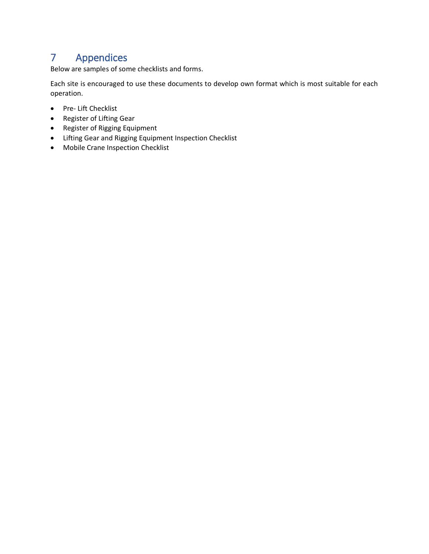## <span id="page-24-0"></span>7 Appendices

Below are samples of some checklists and forms.

Each site is encouraged to use these documents to develop own format which is most suitable for each operation.

- Pre- Lift Checklist
- Register of Lifting Gear
- Register of Rigging Equipment
- Lifting Gear and Rigging Equipment Inspection Checklist
- Mobile Crane Inspection Checklist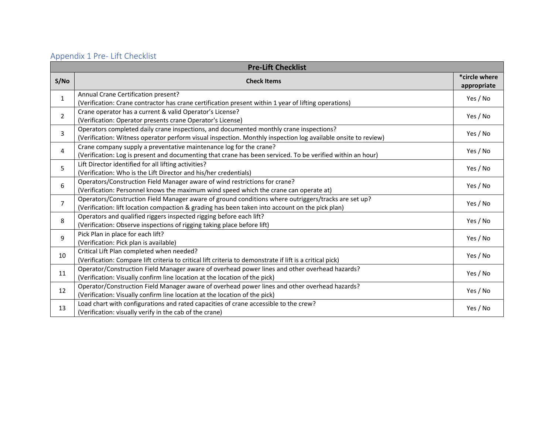## Appendix 1 Pre- Lift Checklist

<span id="page-25-0"></span>

|                | <b>Pre-Lift Checklist</b>                                                                                                                                                                               |          |  |  |  |  |
|----------------|---------------------------------------------------------------------------------------------------------------------------------------------------------------------------------------------------------|----------|--|--|--|--|
| S/NO           | *circle where<br><b>Check Items</b><br>appropriate                                                                                                                                                      |          |  |  |  |  |
| $\mathbf{1}$   | Annual Crane Certification present?<br>(Verification: Crane contractor has crane certification present within 1 year of lifting operations)                                                             | Yes / No |  |  |  |  |
| $\overline{2}$ | Crane operator has a current & valid Operator's License?<br>(Verification: Operator presents crane Operator's License)                                                                                  | Yes / No |  |  |  |  |
| 3              | Operators completed daily crane inspections, and documented monthly crane inspections?<br>(Verification: Witness operator perform visual inspection. Monthly inspection log available onsite to review) | Yes / No |  |  |  |  |
| 4              | Crane company supply a preventative maintenance log for the crane?<br>(Verification: Log is present and documenting that crane has been serviced. To be verified within an hour)                        | Yes / No |  |  |  |  |
| 5              | Lift Director identified for all lifting activities?<br>(Verification: Who is the Lift Director and his/her credentials)                                                                                |          |  |  |  |  |
| 6              | Operators/Construction Field Manager aware of wind restrictions for crane?<br>(Verification: Personnel knows the maximum wind speed which the crane can operate at)                                     | Yes / No |  |  |  |  |
| $\overline{7}$ | Operators/Construction Field Manager aware of ground conditions where outriggers/tracks are set up?<br>(Verification: lift location compaction & grading has been taken into account on the pick plan)  | Yes / No |  |  |  |  |
| 8              | Operators and qualified riggers inspected rigging before each lift?<br>(Verification: Observe inspections of rigging taking place before lift)                                                          | Yes / No |  |  |  |  |
| 9              | Pick Plan in place for each lift?<br>(Verification: Pick plan is available)                                                                                                                             | Yes / No |  |  |  |  |
| 10             | Critical Lift Plan completed when needed?<br>(Verification: Compare lift criteria to critical lift criteria to demonstrate if lift is a critical pick)                                                  | Yes / No |  |  |  |  |
| 11             | Operator/Construction Field Manager aware of overhead power lines and other overhead hazards?<br>(Verification: Visually confirm line location at the location of the pick)                             | Yes / No |  |  |  |  |
| 12             | Operator/Construction Field Manager aware of overhead power lines and other overhead hazards?<br>(Verification: Visually confirm line location at the location of the pick)                             | Yes / No |  |  |  |  |
| 13             | Load chart with configurations and rated capacities of crane accessible to the crew?<br>(Verification: visually verify in the cab of the crane)                                                         | Yes / No |  |  |  |  |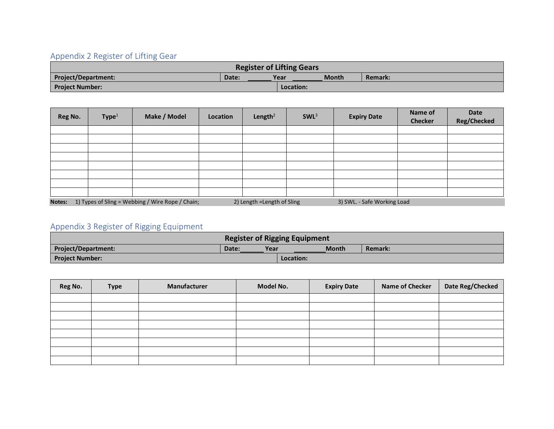## Appendix 2 Register of Lifting Gear

|                            |       | <b>Register of Lifting Gears</b> |              |                |
|----------------------------|-------|----------------------------------|--------------|----------------|
| <b>Project/Department:</b> | Date: | Year                             | <b>Month</b> | <b>Remark:</b> |
| <b>Project Number:</b>     |       | Location:                        |              |                |

| Reg No. | Type <sup>1</sup> | Make / Model                                     | Location | Length <sup>2</sup>         | SWL <sup>3</sup> | <b>Expiry Date</b>          | Name of<br><b>Checker</b> | <b>Date</b><br><b>Reg/Checked</b> |
|---------|-------------------|--------------------------------------------------|----------|-----------------------------|------------------|-----------------------------|---------------------------|-----------------------------------|
|         |                   |                                                  |          |                             |                  |                             |                           |                                   |
|         |                   |                                                  |          |                             |                  |                             |                           |                                   |
|         |                   |                                                  |          |                             |                  |                             |                           |                                   |
|         |                   |                                                  |          |                             |                  |                             |                           |                                   |
|         |                   |                                                  |          |                             |                  |                             |                           |                                   |
|         |                   |                                                  |          |                             |                  |                             |                           |                                   |
|         |                   |                                                  |          |                             |                  |                             |                           |                                   |
|         |                   |                                                  |          |                             |                  |                             |                           |                                   |
| Notes:  |                   | 1) Types of Sling = Webbing / Wire Rope / Chain; |          | 2) Length = Length of Sling |                  | 3) SWL. - Safe Working Load |                           |                                   |

## <span id="page-26-0"></span>Appendix 3 Register of Rigging Equipment

|                        |               | <b>Register of Rigging Equipment</b> |                |
|------------------------|---------------|--------------------------------------|----------------|
| Project/Department:    | Year<br>Date: | <b>Month</b>                         | <b>Remark:</b> |
| <b>Project Number:</b> |               | Location:                            |                |

<span id="page-26-1"></span>

| Reg No. | <b>Type</b> | Manufacturer | Model No. | <b>Expiry Date</b> | <b>Name of Checker</b> | Date Reg/Checked |
|---------|-------------|--------------|-----------|--------------------|------------------------|------------------|
|         |             |              |           |                    |                        |                  |
|         |             |              |           |                    |                        |                  |
|         |             |              |           |                    |                        |                  |
|         |             |              |           |                    |                        |                  |
|         |             |              |           |                    |                        |                  |
|         |             |              |           |                    |                        |                  |
|         |             |              |           |                    |                        |                  |
|         |             |              |           |                    |                        |                  |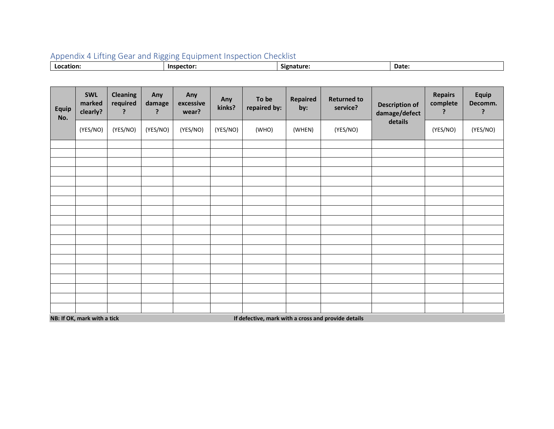| Appendix 4 Lifting Gear and Rigging Equipment Inspection Checklist |  |
|--------------------------------------------------------------------|--|
|--------------------------------------------------------------------|--|

| Date:<br>won:<br>Ition. |
|-------------------------|
|-------------------------|

<span id="page-27-0"></span>

| <b>Equip</b><br>No.                                                                | <b>SWL</b><br>marked<br>clearly? | <b>Cleaning</b><br>required<br>? | Any<br>damage<br>? | Any<br>excessive<br>wear? | Any<br>kinks? | To be<br>repaired by: | <b>Repaired</b><br>by: | <b>Returned to</b><br>service? | <b>Description of</b><br>damage/defect<br>details | <b>Repairs</b><br>complete<br>? | Equip<br>Decomm.<br>? |
|------------------------------------------------------------------------------------|----------------------------------|----------------------------------|--------------------|---------------------------|---------------|-----------------------|------------------------|--------------------------------|---------------------------------------------------|---------------------------------|-----------------------|
|                                                                                    | (YES/NO)                         | (YES/NO)                         | (YES/NO)           | (YES/NO)                  | (YES/NO)      | (WHO)                 | (WHEN)                 | (YES/NO)                       |                                                   | (YES/NO)                        | (YES/NO)              |
|                                                                                    |                                  |                                  |                    |                           |               |                       |                        |                                |                                                   |                                 |                       |
|                                                                                    |                                  |                                  |                    |                           |               |                       |                        |                                |                                                   |                                 |                       |
|                                                                                    |                                  |                                  |                    |                           |               |                       |                        |                                |                                                   |                                 |                       |
|                                                                                    |                                  |                                  |                    |                           |               |                       |                        |                                |                                                   |                                 |                       |
|                                                                                    |                                  |                                  |                    |                           |               |                       |                        |                                |                                                   |                                 |                       |
|                                                                                    |                                  |                                  |                    |                           |               |                       |                        |                                |                                                   |                                 |                       |
|                                                                                    |                                  |                                  |                    |                           |               |                       |                        |                                |                                                   |                                 |                       |
|                                                                                    |                                  |                                  |                    |                           |               |                       |                        |                                |                                                   |                                 |                       |
|                                                                                    |                                  |                                  |                    |                           |               |                       |                        |                                |                                                   |                                 |                       |
|                                                                                    |                                  |                                  |                    |                           |               |                       |                        |                                |                                                   |                                 |                       |
|                                                                                    |                                  |                                  |                    |                           |               |                       |                        |                                |                                                   |                                 |                       |
|                                                                                    |                                  |                                  |                    |                           |               |                       |                        |                                |                                                   |                                 |                       |
|                                                                                    |                                  |                                  |                    |                           |               |                       |                        |                                |                                                   |                                 |                       |
|                                                                                    |                                  |                                  |                    |                           |               |                       |                        |                                |                                                   |                                 |                       |
|                                                                                    |                                  |                                  |                    |                           |               |                       |                        |                                |                                                   |                                 |                       |
|                                                                                    |                                  |                                  |                    |                           |               |                       |                        |                                |                                                   |                                 |                       |
|                                                                                    |                                  |                                  |                    |                           |               |                       |                        |                                |                                                   |                                 |                       |
| NB: If OK, mark with a tick<br>If defective, mark with a cross and provide details |                                  |                                  |                    |                           |               |                       |                        |                                |                                                   |                                 |                       |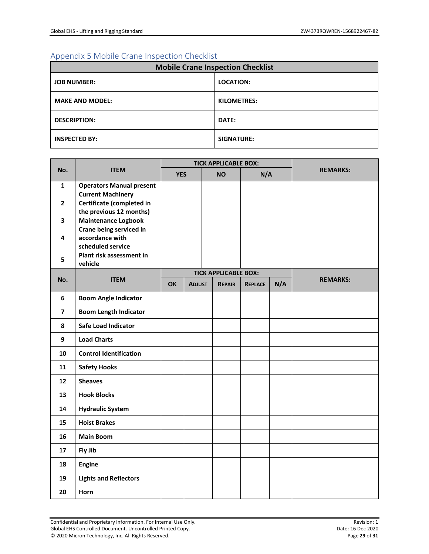### <span id="page-28-0"></span>Appendix 5 Mobile Crane Inspection Checklist

| <b>Mobile Crane Inspection Checklist</b> |                    |  |  |  |  |
|------------------------------------------|--------------------|--|--|--|--|
| <b>JOB NUMBER:</b>                       | <b>LOCATION:</b>   |  |  |  |  |
| <b>MAKE AND MODEL:</b>                   | <b>KILOMETRES:</b> |  |  |  |  |
| <b>DESCRIPTION:</b>                      | DATE:              |  |  |  |  |
| <b>INSPECTED BY:</b>                     | <b>SIGNATURE:</b>  |  |  |  |  |

| No.                     | <b>ITEM</b>                                                                      | <b>TICK APPLICABLE BOX:</b> |               |           |                             |                |     |                 |
|-------------------------|----------------------------------------------------------------------------------|-----------------------------|---------------|-----------|-----------------------------|----------------|-----|-----------------|
|                         |                                                                                  | <b>YES</b>                  |               | <b>NO</b> |                             | N/A            |     | <b>REMARKS:</b> |
| 1                       | <b>Operators Manual present</b>                                                  |                             |               |           |                             |                |     |                 |
| $\mathbf{2}$            | <b>Current Machinery</b><br>Certificate (completed in<br>the previous 12 months) |                             |               |           |                             |                |     |                 |
| $\overline{\mathbf{3}}$ | <b>Maintenance Logbook</b>                                                       |                             |               |           |                             |                |     |                 |
| 4                       | Crane being serviced in<br>accordance with<br>scheduled service                  |                             |               |           |                             |                |     |                 |
| 5                       | Plant risk assessment in<br>vehicle                                              |                             |               |           |                             |                |     |                 |
|                         |                                                                                  |                             |               |           | <b>TICK APPLICABLE BOX:</b> |                |     |                 |
| No.                     | <b>ITEM</b>                                                                      | <b>OK</b>                   | <b>ADJUST</b> |           | <b>REPAIR</b>               | <b>REPLACE</b> | N/A | <b>REMARKS:</b> |
| 6                       | <b>Boom Angle Indicator</b>                                                      |                             |               |           |                             |                |     |                 |
| $\overline{\mathbf{z}}$ | <b>Boom Length Indicator</b>                                                     |                             |               |           |                             |                |     |                 |
| 8                       | <b>Safe Load Indicator</b>                                                       |                             |               |           |                             |                |     |                 |
| 9                       | <b>Load Charts</b>                                                               |                             |               |           |                             |                |     |                 |
| 10                      | <b>Control Identification</b>                                                    |                             |               |           |                             |                |     |                 |
| 11                      | <b>Safety Hooks</b>                                                              |                             |               |           |                             |                |     |                 |
| 12                      | <b>Sheaves</b>                                                                   |                             |               |           |                             |                |     |                 |
| 13                      | <b>Hook Blocks</b>                                                               |                             |               |           |                             |                |     |                 |
| 14                      | <b>Hydraulic System</b>                                                          |                             |               |           |                             |                |     |                 |
| 15                      | <b>Hoist Brakes</b>                                                              |                             |               |           |                             |                |     |                 |
| 16                      | <b>Main Boom</b>                                                                 |                             |               |           |                             |                |     |                 |
| 17                      | Fly Jib                                                                          |                             |               |           |                             |                |     |                 |
| 18                      | <b>Engine</b>                                                                    |                             |               |           |                             |                |     |                 |
| 19                      | <b>Lights and Reflectors</b>                                                     |                             |               |           |                             |                |     |                 |
| 20                      | Horn                                                                             |                             |               |           |                             |                |     |                 |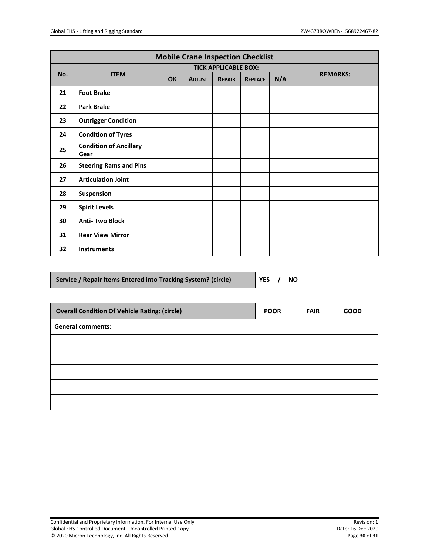| <b>Mobile Crane Inspection Checklist</b> |                                       |    |               |                             |                |     |                 |
|------------------------------------------|---------------------------------------|----|---------------|-----------------------------|----------------|-----|-----------------|
|                                          | <b>ITEM</b>                           |    |               | <b>TICK APPLICABLE BOX:</b> |                |     |                 |
| No.                                      |                                       | OK | <b>ADJUST</b> | <b>REPAIR</b>               | <b>REPLACE</b> | N/A | <b>REMARKS:</b> |
| 21                                       | <b>Foot Brake</b>                     |    |               |                             |                |     |                 |
| 22                                       | <b>Park Brake</b>                     |    |               |                             |                |     |                 |
| 23                                       | <b>Outrigger Condition</b>            |    |               |                             |                |     |                 |
| 24                                       | <b>Condition of Tyres</b>             |    |               |                             |                |     |                 |
| 25                                       | <b>Condition of Ancillary</b><br>Gear |    |               |                             |                |     |                 |
| 26                                       | <b>Steering Rams and Pins</b>         |    |               |                             |                |     |                 |
| 27                                       | <b>Articulation Joint</b>             |    |               |                             |                |     |                 |
| 28                                       | Suspension                            |    |               |                             |                |     |                 |
| 29                                       | <b>Spirit Levels</b>                  |    |               |                             |                |     |                 |
| 30                                       | <b>Anti-Two Block</b>                 |    |               |                             |                |     |                 |
| 31                                       | <b>Rear View Mirror</b>               |    |               |                             |                |     |                 |
| 32                                       | <b>Instruments</b>                    |    |               |                             |                |     |                 |

| Service / Repair Items Entered into Tracking System? (circle)<br>  YES / NO |
|-----------------------------------------------------------------------------|
|-----------------------------------------------------------------------------|

| <b>Overall Condition Of Vehicle Rating: (circle)</b> | <b>POOR</b> | <b>FAIR</b> | <b>GOOD</b> |
|------------------------------------------------------|-------------|-------------|-------------|
| <b>General comments:</b>                             |             |             |             |
|                                                      |             |             |             |
|                                                      |             |             |             |
|                                                      |             |             |             |
|                                                      |             |             |             |
|                                                      |             |             |             |